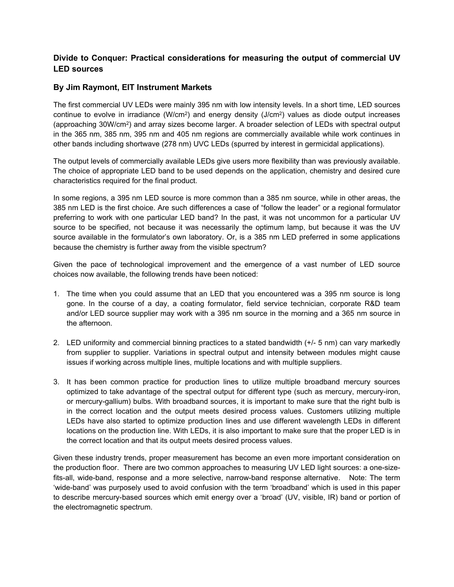# **Divide to Conquer: Practical considerations for measuring the output of commercial UV LED sources**

## **By Jim Raymont, EIT Instrument Markets**

The first commercial UV LEDs were mainly 395 nm with low intensity levels. In a short time, LED sources continue to evolve in irradiance (W/cm<sup>2</sup>) and energy density (J/cm<sup>2</sup>) values as diode output increases (approaching 30W/cm2) and array sizes become larger. A broader selection of LEDs with spectral output in the 365 nm, 385 nm, 395 nm and 405 nm regions are commercially available while work continues in other bands including shortwave (278 nm) UVC LEDs (spurred by interest in germicidal applications).

The output levels of commercially available LEDs give users more flexibility than was previously available. The choice of appropriate LED band to be used depends on the application, chemistry and desired cure characteristics required for the final product.

In some regions, a 395 nm LED source is more common than a 385 nm source, while in other areas, the 385 nm LED is the first choice. Are such differences a case of "follow the leader" or a regional formulator preferring to work with one particular LED band? In the past, it was not uncommon for a particular UV source to be specified, not because it was necessarily the optimum lamp, but because it was the UV source available in the formulator's own laboratory. Or, is a 385 nm LED preferred in some applications because the chemistry is further away from the visible spectrum?

Given the pace of technological improvement and the emergence of a vast number of LED source choices now available, the following trends have been noticed:

- 1. The time when you could assume that an LED that you encountered was a 395 nm source is long gone. In the course of a day, a coating formulator, field service technician, corporate R&D team and/or LED source supplier may work with a 395 nm source in the morning and a 365 nm source in the afternoon.
- 2. LED uniformity and commercial binning practices to a stated bandwidth (+/- 5 nm) can vary markedly from supplier to supplier. Variations in spectral output and intensity between modules might cause issues if working across multiple lines, multiple locations and with multiple suppliers.
- 3. It has been common practice for production lines to utilize multiple broadband mercury sources optimized to take advantage of the spectral output for different type (such as mercury, mercury-iron, or mercury-gallium) bulbs. With broadband sources, it is important to make sure that the right bulb is in the correct location and the output meets desired process values. Customers utilizing multiple LEDs have also started to optimize production lines and use different wavelength LEDs in different locations on the production line. With LEDs, it is also important to make sure that the proper LED is in the correct location and that its output meets desired process values.

Given these industry trends, proper measurement has become an even more important consideration on the production floor. There are two common approaches to measuring UV LED light sources: a one-sizefits-all, wide-band, response and a more selective, narrow-band response alternative. Note: The term 'wide-band' was purposely used to avoid confusion with the term 'broadband' which is used in this paper to describe mercury-based sources which emit energy over a 'broad' (UV, visible, IR) band or portion of the electromagnetic spectrum.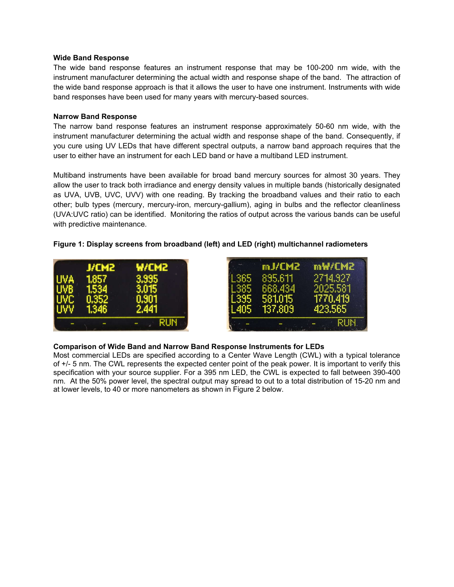#### **Wide Band Response**

The wide band response features an instrument response that may be 100-200 nm wide, with the instrument manufacturer determining the actual width and response shape of the band. The attraction of the wide band response approach is that it allows the user to have one instrument. Instruments with wide band responses have been used for many years with mercury-based sources.

#### **Narrow Band Response**

The narrow band response features an instrument response approximately 50-60 nm wide, with the instrument manufacturer determining the actual width and response shape of the band. Consequently, if you cure using UV LEDs that have different spectral outputs, a narrow band approach requires that the user to either have an instrument for each LED band or have a multiband LED instrument.

Multiband instruments have been available for broad band mercury sources for almost 30 years. They allow the user to track both irradiance and energy density values in multiple bands (historically designated as UVA, UVB, UVC, UVV) with one reading. By tracking the broadband values and their ratio to each other; bulb types (mercury, mercury-iron, mercury-gallium), aging in bulbs and the reflector cleanliness (UVA:UVC ratio) can be identified. Monitoring the ratios of output across the various bands can be useful with predictive maintenance.

## **Figure 1: Display screens from broadband (left) and LED (right) multichannel radiometers**

| <b>J/CM2</b> | <b>MICMS</b> |
|--------------|--------------|
| 857          | 3,995        |
| .53,         |              |
|              |              |
| 1.346        | 2.441        |
|              |              |

| mJ/CM2     | mW/CM2   |
|------------|----------|
| 895.611    | 2714.927 |
| 668,434    | 2025.581 |
| 581.015    | 1770,419 |
| $-137,809$ | 423,565  |

### **Comparison of Wide Band and Narrow Band Response Instruments for LEDs**

Most commercial LEDs are specified according to a Center Wave Length (CWL) with a typical tolerance of +/- 5 nm. The CWL represents the expected center point of the peak power. It is important to verify this specification with your source supplier. For a 395 nm LED, the CWL is expected to fall between 390-400 nm. At the 50% power level, the spectral output may spread to out to a total distribution of 15-20 nm and at lower levels, to 40 or more nanometers as shown in Figure 2 below.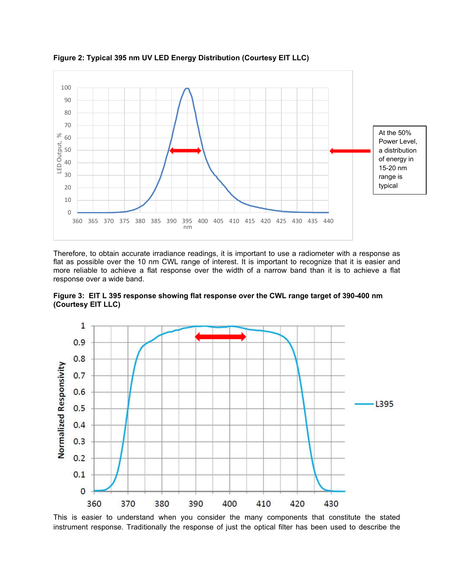

**Figure 2: Typical 395 nm UV LED Energy Distribution (Courtesy EIT LLC)** 

Therefore, to obtain accurate irradiance readings, it is important to use a radiometer with a response as flat as possible over the 10 nm CWL range of interest. It is important to recognize that it is easier and more reliable to achieve a flat response over the width of a narrow band than it is to achieve a flat response over a wide band.





This is easier to understand when you consider the many components that constitute the stated instrument response. Traditionally the response of just the optical filter has been used to describe the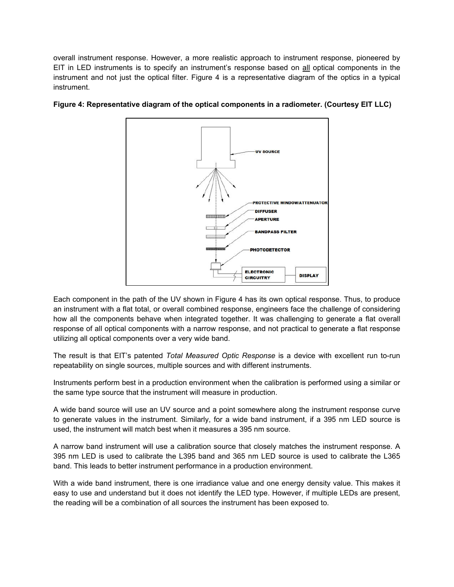overall instrument response. However, a more realistic approach to instrument response, pioneered by EIT in LED instruments is to specify an instrument's response based on all optical components in the instrument and not just the optical filter. Figure 4 is a representative diagram of the optics in a typical instrument.



# **Figure 4: Representative diagram of the optical components in a radiometer. (Courtesy EIT LLC)**

Each component in the path of the UV shown in Figure 4 has its own optical response. Thus, to produce an instrument with a flat total, or overall combined response, engineers face the challenge of considering how all the components behave when integrated together. It was challenging to generate a flat overall response of all optical components with a narrow response, and not practical to generate a flat response utilizing all optical components over a very wide band.

The result is that EIT's patented *Total Measured Optic Response* is a device with excellent run to-run repeatability on single sources, multiple sources and with different instruments.

Instruments perform best in a production environment when the calibration is performed using a similar or the same type source that the instrument will measure in production.

A wide band source will use an UV source and a point somewhere along the instrument response curve to generate values in the instrument. Similarly, for a wide band instrument, if a 395 nm LED source is used, the instrument will match best when it measures a 395 nm source.

A narrow band instrument will use a calibration source that closely matches the instrument response. A 395 nm LED is used to calibrate the L395 band and 365 nm LED source is used to calibrate the L365 band. This leads to better instrument performance in a production environment.

With a wide band instrument, there is one irradiance value and one energy density value. This makes it easy to use and understand but it does not identify the LED type. However, if multiple LEDs are present, the reading will be a combination of all sources the instrument has been exposed to.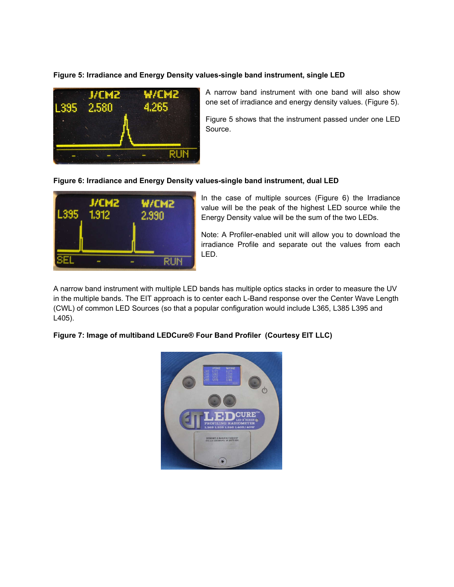## **Figure 5: Irradiance and Energy Density values-single band instrument, single LED**



A narrow band instrument with one band will also show one set of irradiance and energy density values. (Figure 5).

Figure 5 shows that the instrument passed under one LED Source.

#### **Figure 6: Irradiance and Energy Density values-single band instrument, dual LED**



In the case of multiple sources (Figure 6) the Irradiance value will be the peak of the highest LED source while the Energy Density value will be the sum of the two LEDs.

Note: A Profiler-enabled unit will allow you to download the irradiance Profile and separate out the values from each LED.

A narrow band instrument with multiple LED bands has multiple optics stacks in order to measure the UV in the multiple bands. The EIT approach is to center each L-Band response over the Center Wave Length (CWL) of common LED Sources (so that a popular configuration would include L365, L385 L395 and L405).

#### **Figure 7: Image of multiband LEDCure® Four Band Profiler (Courtesy EIT LLC)**

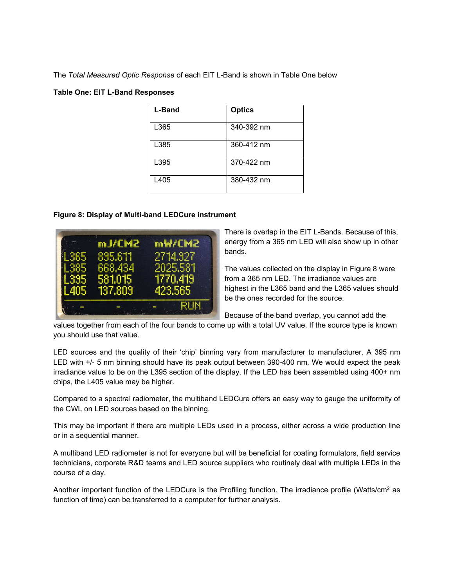The *Total Measured Optic Response* of each EIT L-Band is shown in Table One below

### **Table One: EIT L-Band Responses**

| <b>L-Band</b> | <b>Optics</b> |
|---------------|---------------|
| L365          | 340-392 nm    |
| L385          | 360-412 nm    |
| L395          | 370-422 nm    |
| L405          | 380-432 nm    |

### **Figure 8: Display of Multi-band LEDCure instrument**



There is overlap in the EIT L-Bands. Because of this, energy from a 365 nm LED will also show up in other bands.

The values collected on the display in Figure 8 were from a 365 nm LED. The irradiance values are highest in the L365 band and the L365 values should be the ones recorded for the source.

Because of the band overlap, you cannot add the

values together from each of the four bands to come up with a total UV value. If the source type is known you should use that value.

LED sources and the quality of their 'chip' binning vary from manufacturer to manufacturer. A 395 nm LED with +/- 5 nm binning should have its peak output between 390-400 nm. We would expect the peak irradiance value to be on the L395 section of the display. If the LED has been assembled using 400+ nm chips, the L405 value may be higher.

Compared to a spectral radiometer, the multiband LEDCure offers an easy way to gauge the uniformity of the CWL on LED sources based on the binning.

This may be important if there are multiple LEDs used in a process, either across a wide production line or in a sequential manner.

A multiband LED radiometer is not for everyone but will be beneficial for coating formulators, field service technicians, corporate R&D teams and LED source suppliers who routinely deal with multiple LEDs in the course of a day.

Another important function of the LEDCure is the Profiling function. The irradiance profile (Watts/cm<sup>2</sup> as function of time) can be transferred to a computer for further analysis.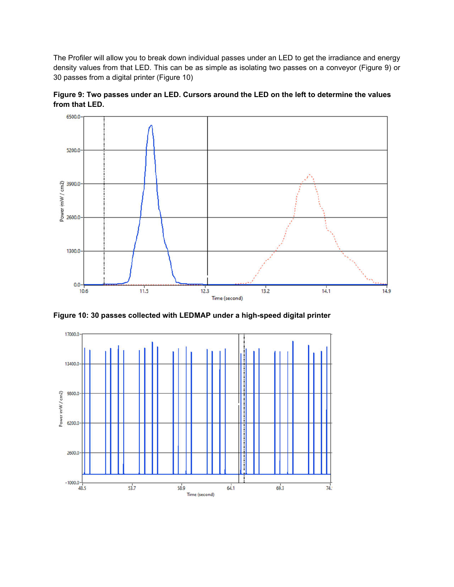The Profiler will allow you to break down individual passes under an LED to get the irradiance and energy density values from that LED. This can be as simple as isolating two passes on a conveyor (Figure 9) or 30 passes from a digital printer (Figure 10)





**Figure 10: 30 passes collected with LEDMAP under a high-speed digital printer** 

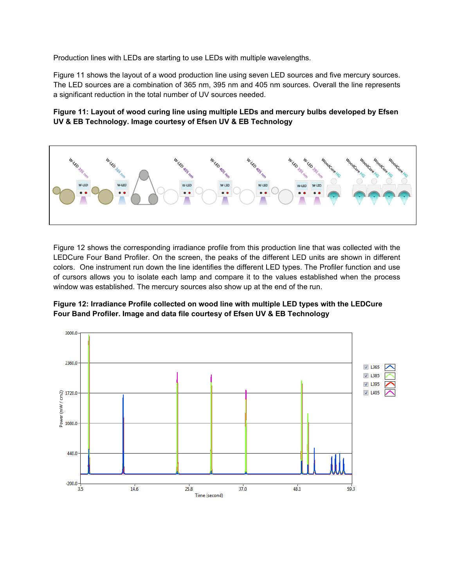Production lines with LEDs are starting to use LEDs with multiple wavelengths.

Figure 11 shows the layout of a wood production line using seven LED sources and five mercury sources. The LED sources are a combination of 365 nm, 395 nm and 405 nm sources. Overall the line represents a significant reduction in the total number of UV sources needed.

### **Figure 11: Layout of wood curing line using multiple LEDs and mercury bulbs developed by Efsen UV & EB Technology. Image courtesy of Efsen UV & EB Technology**



Figure 12 shows the corresponding irradiance profile from this production line that was collected with the LEDCure Four Band Profiler. On the screen, the peaks of the different LED units are shown in different colors. One instrument run down the line identifies the different LED types. The Profiler function and use of cursors allows you to isolate each lamp and compare it to the values established when the process window was established. The mercury sources also show up at the end of the run.